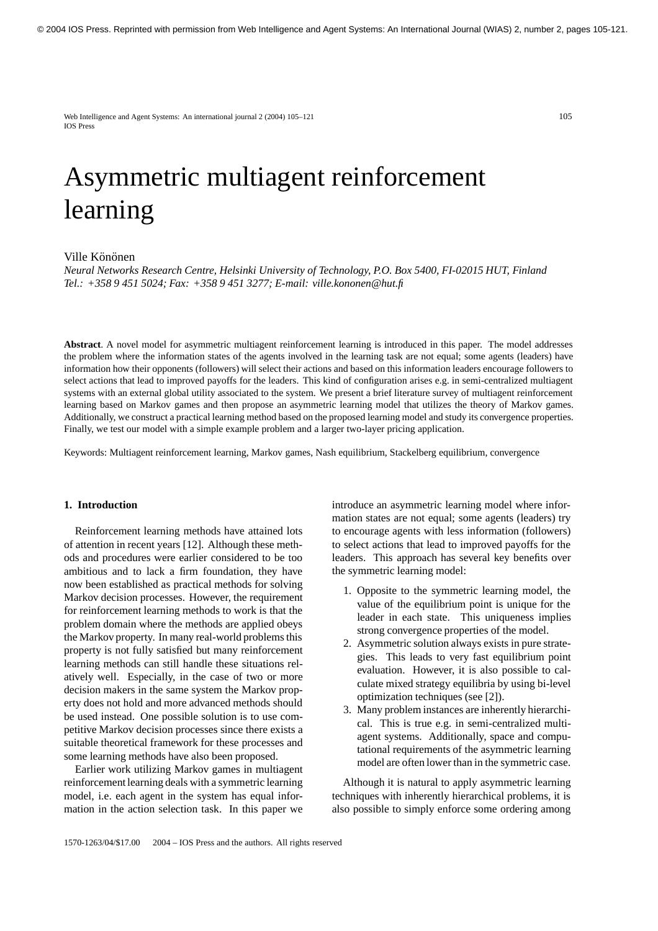Web Intelligence and Agent Systems: An international journal 2 (2004) 105–121 105 IOS Press

# Asymmetric multiagent reinforcement learning

# Ville Könönen

*Neural Networks Research Centre, Helsinki University of Technology, P.O. Box 5400, FI-02015 HUT, Finland Tel.: +358 9 451 5024; Fax: +358 9 451 3277; E-mail: ville.kononen@hut.fi*

**Abstract**. A novel model for asymmetric multiagent reinforcement learning is introduced in this paper. The model addresses the problem where the information states of the agents involved in the learning task are not equal; some agents (leaders) have information how their opponents (followers) will select their actions and based on this information leaders encourage followers to select actions that lead to improved payoffs for the leaders. This kind of configuration arises e.g. in semi-centralized multiagent systems with an external global utility associated to the system. We present a brief literature survey of multiagent reinforcement learning based on Markov games and then propose an asymmetric learning model that utilizes the theory of Markov games. Additionally, we construct a practical learning method based on the proposed learning model and study its convergence properties. Finally, we test our model with a simple example problem and a larger two-layer pricing application.

Keywords: Multiagent reinforcement learning, Markov games, Nash equilibrium, Stackelberg equilibrium, convergence

## **1. Introduction**

Reinforcement learning methods have attained lots of attention in recent years [12]. Although these methods and procedures were earlier considered to be too ambitious and to lack a firm foundation, they have now been established as practical methods for solving Markov decision processes. However, the requirement for reinforcement learning methods to work is that the problem domain where the methods are applied obeys the Markov property. In many real-world problems this property is not fully satisfied but many reinforcement learning methods can still handle these situations relatively well. Especially, in the case of two or more decision makers in the same system the Markov property does not hold and more advanced methods should be used instead. One possible solution is to use competitive Markov decision processes since there exists a suitable theoretical framework for these processes and some learning methods have also been proposed.

Earlier work utilizing Markov games in multiagent reinforcement learning deals with a symmetric learning model, i.e. each agent in the system has equal information in the action selection task. In this paper we

introduce an asymmetric learning model where information states are not equal; some agents (leaders) try to encourage agents with less information (followers) to select actions that lead to improved payoffs for the leaders. This approach has several key benefits over the symmetric learning model:

- 1. Opposite to the symmetric learning model, the value of the equilibrium point is unique for the leader in each state. This uniqueness implies strong convergence properties of the model.
- 2. Asymmetric solution always exists in pure strategies. This leads to very fast equilibrium point evaluation. However, it is also possible to calculate mixed strategy equilibria by using bi-level optimization techniques (see [2]).
- 3. Many problem instances are inherently hierarchical. This is true e.g. in semi-centralized multiagent systems. Additionally, space and computational requirements of the asymmetric learning model are often lower than in the symmetric case.

Although it is natural to apply asymmetric learning techniques with inherently hierarchical problems, it is also possible to simply enforce some ordering among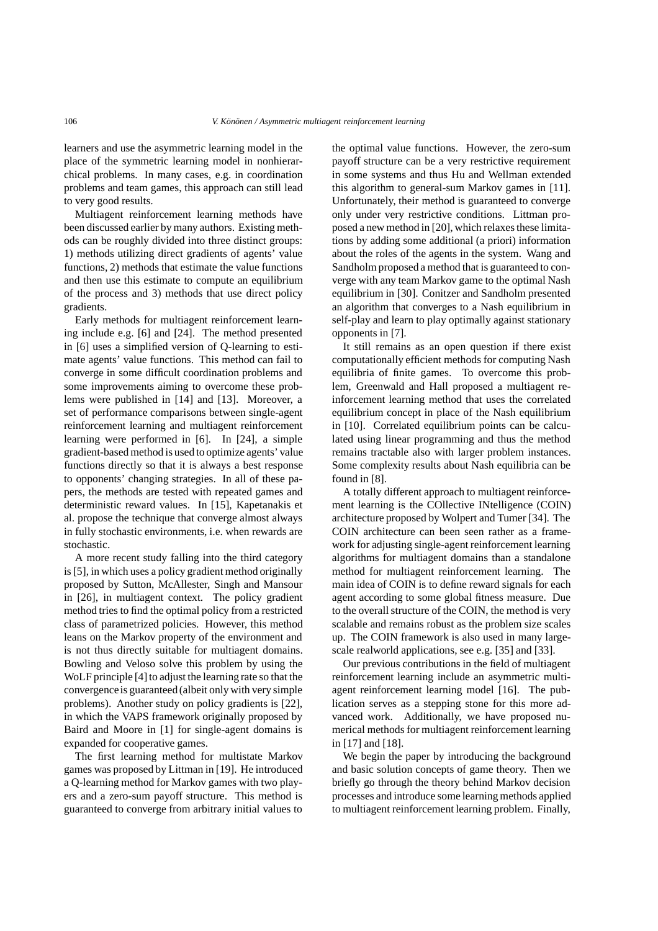learners and use the asymmetric learning model in the place of the symmetric learning model in nonhierarchical problems. In many cases, e.g. in coordination problems and team games, this approach can still lead to very good results.

Multiagent reinforcement learning methods have been discussed earlier by many authors. Existing methods can be roughly divided into three distinct groups: 1) methods utilizing direct gradients of agents' value functions, 2) methods that estimate the value functions and then use this estimate to compute an equilibrium of the process and 3) methods that use direct policy gradients.

Early methods for multiagent reinforcement learning include e.g. [6] and [24]. The method presented in [6] uses a simplified version of Q-learning to estimate agents' value functions. This method can fail to converge in some difficult coordination problems and some improvements aiming to overcome these problems were published in [14] and [13]. Moreover, a set of performance comparisons between single-agent reinforcement learning and multiagent reinforcement learning were performed in [6]. In [24], a simple gradient-based method is used to optimize agents' value functions directly so that it is always a best response to opponents' changing strategies. In all of these papers, the methods are tested with repeated games and deterministic reward values. In [15], Kapetanakis et al. propose the technique that converge almost always in fully stochastic environments, i.e. when rewards are stochastic.

A more recent study falling into the third category is [5], in which uses a policy gradient method originally proposed by Sutton, McAllester, Singh and Mansour in [26], in multiagent context. The policy gradient method tries to find the optimal policy from a restricted class of parametrized policies. However, this method leans on the Markov property of the environment and is not thus directly suitable for multiagent domains. Bowling and Veloso solve this problem by using the WoLF principle [4] to adjust the learning rate so that the convergenceis guaranteed (albeit only with very simple problems). Another study on policy gradients is [22], in which the VAPS framework originally proposed by Baird and Moore in [1] for single-agent domains is expanded for cooperative games.

The first learning method for multistate Markov games was proposed by Littman in [19]. He introduced a Q-learning method for Markov games with two players and a zero-sum payoff structure. This method is guaranteed to converge from arbitrary initial values to

the optimal value functions. However, the zero-sum payoff structure can be a very restrictive requirement in some systems and thus Hu and Wellman extended this algorithm to general-sum Markov games in [11]. Unfortunately, their method is guaranteed to converge only under very restrictive conditions. Littman proposed a new method in [20], which relaxes these limitations by adding some additional (a priori) information about the roles of the agents in the system. Wang and Sandholm proposed a method that is guaranteed to converge with any team Markov game to the optimal Nash equilibrium in [30]. Conitzer and Sandholm presented an algorithm that converges to a Nash equilibrium in self-play and learn to play optimally against stationary opponents in [7].

It still remains as an open question if there exist computationally efficient methods for computing Nash equilibria of finite games. To overcome this problem, Greenwald and Hall proposed a multiagent reinforcement learning method that uses the correlated equilibrium concept in place of the Nash equilibrium in [10]. Correlated equilibrium points can be calculated using linear programming and thus the method remains tractable also with larger problem instances. Some complexity results about Nash equilibria can be found in [8].

A totally different approach to multiagent reinforcement learning is the COllective INtelligence (COIN) architecture proposed by Wolpert and Tumer [34]. The COIN architecture can been seen rather as a framework for adjusting single-agent reinforcement learning algorithms for multiagent domains than a standalone method for multiagent reinforcement learning. The main idea of COIN is to define reward signals for each agent according to some global fitness measure. Due to the overall structure of the COIN, the method is very scalable and remains robust as the problem size scales up. The COIN framework is also used in many largescale realworld applications, see e.g. [35] and [33].

Our previous contributions in the field of multiagent reinforcement learning include an asymmetric multiagent reinforcement learning model [16]. The publication serves as a stepping stone for this more advanced work. Additionally, we have proposed numerical methods for multiagent reinforcement learning in [17] and [18].

We begin the paper by introducing the background and basic solution concepts of game theory. Then we briefly go through the theory behind Markov decision processes and introduce some learning methods applied to multiagent reinforcement learning problem. Finally,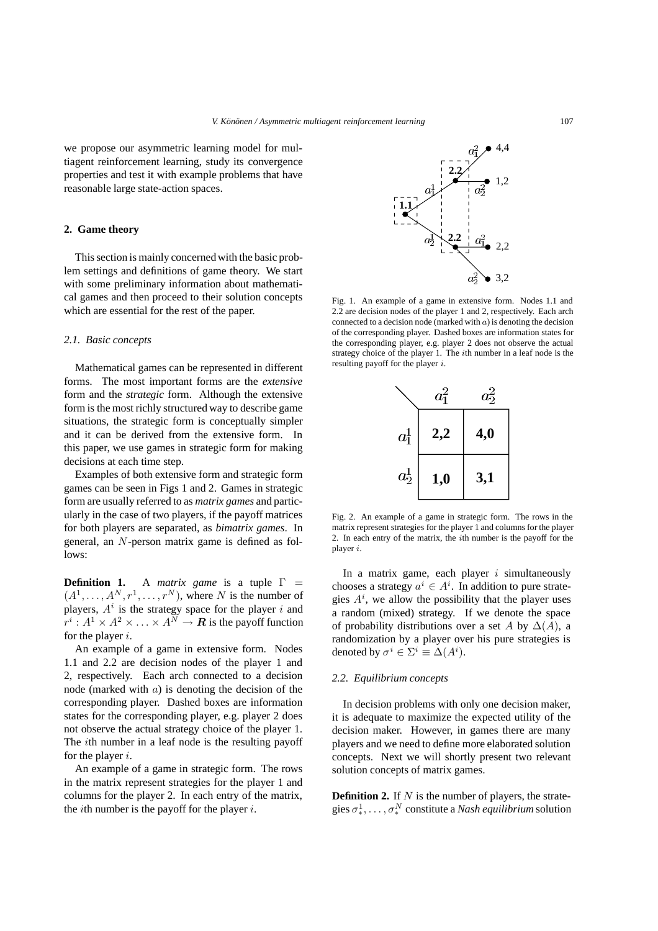we propose our asymmetric learning model for multiagent reinforcement learning, study its convergence properties and test it with example problems that have reasonable large state-action spaces.

# **2. Game theory**

This section is mainly concerned with the basic problem settings and definitions of game theory. We start with some preliminary information about mathematical games and then proceed to their solution concepts which are essential for the rest of the paper.

#### *2.1. Basic concepts*

Mathematical games can be represented in different forms. The most important forms are the *extensive* form and the *strategic* form. Although the extensive form is the most richly structured way to describe game situations, the strategic form is conceptually simpler and it can be derived from the extensive form. In this paper, we use games in strategic form for making decisions at each time step.

Examples of both extensive form and strategic form games can be seen in Figs 1 and 2. Games in strategic form are usually referred to as *matrix games* and particularly in the case of two players, if the payoff matrices for both players are separated, as *bimatrix games*. In general, an N-person matrix game is defined as follows:

**Definition 1.** A *matrix game* is a tuple  $\Gamma$  =  $(A^1, \ldots, A^N, r^1, \ldots, r^N)$ , where N is the number of players,  $A^i$  is the strategy space for the player i and  $x^i \cdot A^1 \times A^2 \times \cdots \times A^N \to \mathbf{B}$  is the payoff function  $r^i : A^1 \times A^2 \times \ldots \times A^N \to \mathbb{R}$  is the payoff function<br>for the player *i* for the player  $i$ .

An example of a game in extensive form. Nodes 1.1 and 2.2 are decision nodes of the player 1 and 2, respectively. Each arch connected to a decision node (marked with  $a$ ) is denoting the decision of the corresponding player. Dashed boxes are information states for the corresponding player, e.g. player 2 does not observe the actual strategy choice of the player 1. The *i*th number in a leaf node is the resulting payoff for the player  $i$ .

An example of a game in strategic form. The rows in the matrix represent strategies for the player 1 and columns for the player 2. In each entry of the matrix, the *i*th number is the payoff for the player  $i$ .



4,4

2.2 are decision nodes of the player 1 and 2, respectively. Each arch connected to a decision node (marked with  $a$ ) is denoting the decision of the corresponding player. Dashed boxes are information states for the corresponding player, e.g. player 2 does not observe the actual strategy choice of the player 1. The ith number in a leaf node is the resulting payoff for the player i.



Fig. 2. An example of a game in strategic form. The rows in the matrix represent strategies for the player 1 and columns for the player 2. In each entry of the matrix, the ith number is the payoff for the player i.

In a matrix game, each player  $i$  simultaneously chooses a strategy  $a^i \in A^i$ . In addition to pure strate-<br>gies  $A^i$  we allow the possibility that the player uses gies  $A^i$ , we allow the possibility that the player uses<br>a random (mixed) strategy. If we denote the space a random (mixed) strategy. If we denote the space of probability distributions over a set A by  $\Delta(A)$ , a randomization by a player over his pure strategies is denoted by  $\sigma^i \in \Sigma^i \equiv \Delta(A^i)$ .

#### *2.2. Equilibrium concepts*

In decision problems with only one decision maker, it is adequate to maximize the expected utility of the decision maker. However, in games there are many players and we need to define more elaborated solution concepts. Next we will shortly present two relevant solution concepts of matrix games.

**Definition 2.** If  $N$  is the number of players, the strategies  $\sigma^1_*, \ldots, \sigma^N_*$  constitute a *Nash equilibrium* solution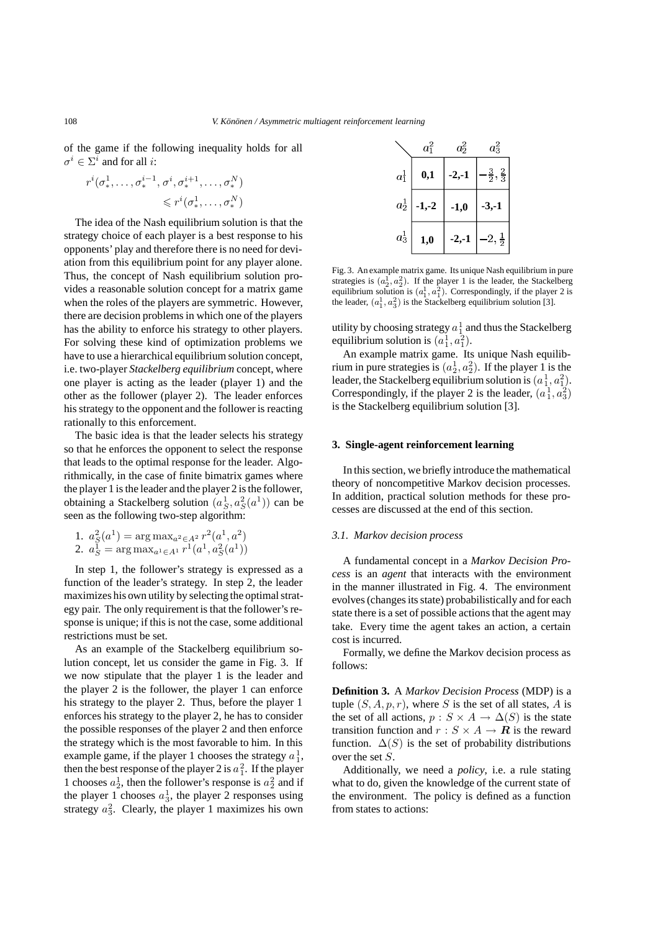of the game if the following inequality holds for all  $\sigma^i \in \Sigma^i$  and for all *i*:

$$
r^{i}(\sigma_*^1, \ldots, \sigma_*^{i-1}, \sigma^i, \sigma_*^{i+1}, \ldots, \sigma_*^N)
$$
  

$$
\leq r^{i}(\sigma_*^1, \ldots, \sigma_*^N)
$$

The idea of the Nash equilibrium solution is that the strategy choice of each player is a best response to his opponents' play and therefore there is no need for deviation from this equilibrium point for any player alone. Thus, the concept of Nash equilibrium solution provides a reasonable solution concept for a matrix game when the roles of the players are symmetric. However, there are decision problems in which one of the players has the ability to enforce his strategy to other players. For solving these kind of optimization problems we have to use a hierarchical equilibrium solution concept, i.e. two-player *Stackelberg equilibrium* concept, where one player is acting as the leader (player 1) and the other as the follower (player 2). The leader enforces his strategy to the opponent and the follower is reacting rationally to this enforcement.

The basic idea is that the leader selects his strategy so that he enforces the opponent to select the response that leads to the optimal response for the leader. Algorithmically, in the case of finite bimatrix games where the player 1 is the leader and the player 2 is the follower, obtaining a Stackelberg solution  $(a_S^1, a_S^2(a^1))$  can be<br>seen as the following two-step algorithm: obtaining a stackenderg solution  $(a<sub>S</sub>, a<sub>S</sub>)$ <br>seen as the following two-step algorithm:

1. 
$$
a_S^2(a^1) = \arg \max_{a^2 \in A^2} r^2(a^1, a^2)
$$
  
2.  $a_S^1 = \arg \max_{a^1 \in A^1} r^1(a^1, a_S^2(a^1))$ 

In step 1, the follower's strategy is expressed as a function of the leader's strategy. In step 2, the leader maximizes his own utility by selecting the optimal strategy pair. The only requirement is that the follower's response is unique; if this is not the case, some additional restrictions must be set.

As an example of the Stackelberg equilibrium solution concept, let us consider the game in Fig. 3. If we now stipulate that the player 1 is the leader and the player 2 is the follower, the player 1 can enforce his strategy to the player 2. Thus, before the player 1 enforces his strategy to the player 2, he has to consider the possible responses of the player 2 and then enforce the strategy which is the most favorable to him. In this example game, if the player 1 chooses the strategy  $a_1^1$ ,<br>then the best response of the player 2 is  $a_1^2$ . If the player then the best response of the player 2 is  $a_1^2$ . If the player<br>1 chooses  $a_1^1$  then the follower's response is  $a_1^2$  and if 1 chooses  $a_2^1$ , then the follower's response is  $a_2^2$  and if<br>the player 1 chooses  $a_2^1$ , the player 2 responses using the player 1 chooses  $a_3^1$ , the player 2 responses using<br>strategy  $a_3^2$ . Clearly, the player 1 maximizes bis own strategy  $a_3^2$ . Clearly, the player 1 maximizes his own

|         | $a_1^2$ | $a_2^2$ | $a_3^2$                    |
|---------|---------|---------|----------------------------|
| $a_1^1$ | 0,1     | $-2,-1$ | $\frac{3}{2}, \frac{2}{3}$ |
| $a_2^1$ | $1,-2$  | -1,0    | $-3,-1$                    |
| $a_3^1$ | $1{,}0$ | -2,-1   | $2,\frac{1}{2}$            |

Fig. 3. An example matrix game. Its unique Nash equilibrium in pure strategies is  $(a_2^1, a_2^2)$ . If the player 1 is the leader, the Stackelberg equilibrium solution is  $(a_1^1, a_1^2)$ . Correspondingly, if the player 2 is the leader,  $(a_1^1, a_3^2)$  is the Stackelberg equilibrium solution [3].

utility by choosing strategy  $a_1^1$  and thus the Stackelberg<br>equilibrium solution is  $(a_1^1, a_2^2)$ equilibrium solution is  $(a_1^1, a_1^2)$ .<br>An example matrix game. Its

umorium solution is  $(a_1, a_1)$ .<br>An example matrix game. Its unique Nash equilibrium in pure strategies is  $(a_2^1, a_2^2)$ . If the player 1 is the leader the Stackelberg equilibrium solution is  $(a_1^1, a_2^2)$ . From in pure strategies is  $(a_2, a_2)$ . It the player 1 is the leader, the Stackelberg equilibrium solution is  $(a_1^1, a_1^2)$ .<br>Correspondingly, if the player 2 is the leader,  $(a_1^1, a_1^2)$ . Exercise the Stacketberg equilibrium solution is  $(a_1, a_1)$ .<br>Correspondingly, if the player 2 is the leader,  $(a_1^1, a_3^2)$ <br>is the Stackelberg equilibrium solution [3] is the Stackelberg equilibrium solution [3].

## **3. Single-agent reinforcement learning**

In this section, we briefly introduce the mathematical theory of noncompetitive Markov decision processes. In addition, practical solution methods for these processes are discussed at the end of this section.

#### *3.1. Markov decision process*

A fundamental concept in a *Markov Decision Process* is an *agent* that interacts with the environment in the manner illustrated in Fig. 4. The environment evolves (changes its state) probabilistically and for each state there is a set of possible actions that the agent may take. Every time the agent takes an action, a certain cost is incurred.

Formally, we define the Markov decision process as follows:

**Definition 3.** A *Markov Decision Process* (MDP) is a tuple  $(S, A, p, r)$ , where S is the set of all states, A is the set of all actions,  $p : S \times A \rightarrow \Delta(S)$  is the state transition function and  $r : S \times A \rightarrow \mathbb{R}$  is the reward function.  $\Delta(S)$  is the set of probability distributions over the set S.

Additionally, we need a *policy*, i.e. a rule stating what to do, given the knowledge of the current state of the environment. The policy is defined as a function from states to actions: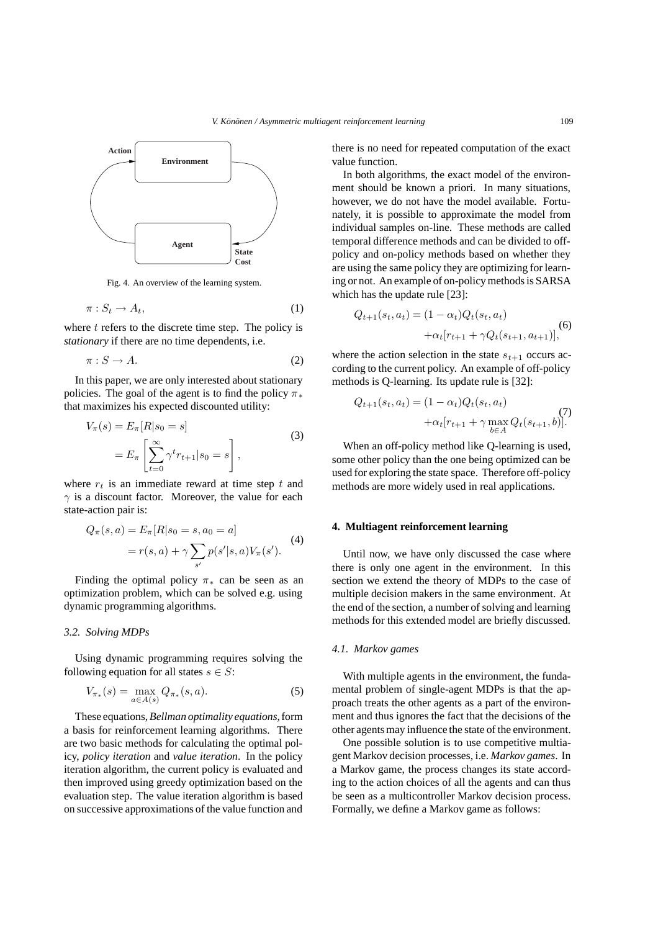

Fig. 4. An overview of the learning system.

$$
\pi: S_t \to A_t,\tag{1}
$$

where  $t$  refers to the discrete time step. The policy is *stationary* if there are no time dependents, i.e.

$$
\pi: S \to A. \tag{2}
$$

In this paper, we are only interested about stationary policies. The goal of the agent is to find the policy  $\pi_*$ that maximizes his expected discounted utility:

$$
V_{\pi}(s) = E_{\pi}[R|s_0 = s]
$$
  

$$
= E_{\pi} \left[ \sum_{t=0}^{\infty} \gamma^t r_{t+1} | s_0 = s \right],
$$
  
(3)

where  $r_t$  is an immediate reward at time step t and  $\gamma$  is a discount factor. Moreover, the value for each state-action pair is:

$$
Q_{\pi}(s, a) = E_{\pi}[R|s_0 = s, a_0 = a]
$$
  
=  $r(s, a) + \gamma \sum_{s'} p(s'|s, a) V_{\pi}(s').$  (4)

Finding the optimal policy  $\pi_*$  can be seen as an optimization problem, which can be solved e.g. using dynamic programming algorithms.

#### *3.2. Solving MDPs*

Using dynamic programming requires solving the following equation for all states  $s \in S$ :

$$
V_{\pi_*}(s) = \max_{a \in A(s)} Q_{\pi_*}(s, a).
$$
 (5)

These equations,*Bellman optimality equations*,form a basis for reinforcement learning algorithms. There are two basic methods for calculating the optimal policy, *policy iteration* and *value iteration*. In the policy iteration algorithm, the current policy is evaluated and then improved using greedy optimization based on the evaluation step. The value iteration algorithm is based on successive approximations of the value function and

there is no need for repeated computation of the exact value function.

In both algorithms, the exact model of the environment should be known a priori. In many situations, however, we do not have the model available. Fortunately, it is possible to approximate the model from individual samples on-line. These methods are called temporal difference methods and can be divided to offpolicy and on-policy methods based on whether they are using the same policy they are optimizing for learning or not. An example of on-policy methods is SARSA which has the update rule [23]:

$$
Q_{t+1}(s_t, a_t) = (1 - \alpha_t) Q_t(s_t, a_t)
$$
  
+  $\alpha_t [r_{t+1} + \gamma Q_t(s_{t+1}, a_{t+1})],$  (6)

where the action selection in the state  $s_{t+1}$  occurs according to the current policy. An example of off-policy methods is Q-learning. Its update rule is [32]:

$$
Q_{t+1}(s_t, a_t) = (1 - \alpha_t) Q_t(s_t, a_t)
$$
  
+  $\alpha_t [r_{t+1} + \gamma \max_{b \in A} Q_t(s_{t+1}, b)].$  (7)

When an off-policy method like Q-learning is used, some other policy than the one being optimized can be used for exploring the state space. Therefore off-policy methods are more widely used in real applications.

# **4. Multiagent reinforcement learning**

Until now, we have only discussed the case where there is only one agent in the environment. In this section we extend the theory of MDPs to the case of multiple decision makers in the same environment. At the end of the section, a number of solving and learning methods for this extended model are briefly discussed.

# *4.1. Markov games*

With multiple agents in the environment, the fundamental problem of single-agent MDPs is that the approach treats the other agents as a part of the environment and thus ignores the fact that the decisions of the other agents may influence the state of the environment.

One possible solution is to use competitive multiagent Markov decision processes, i.e. *Markov games*. In a Markov game, the process changes its state according to the action choices of all the agents and can thus be seen as a multicontroller Markov decision process. Formally, we define a Markov game as follows: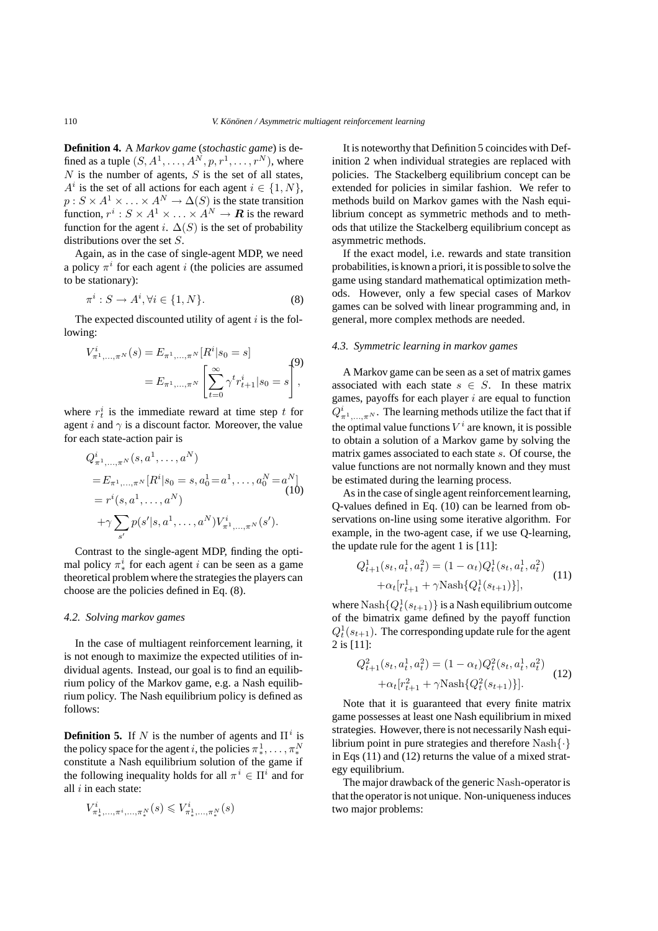**Definition 4.** A *Markov game* (*stochastic game*) is defined as a tuple  $(S, A^1, \ldots, A^N, p, r^1, \ldots, r^N)$ , where  $N$  is the number of agents,  $S$  is the set of all states,  $A^i$  is the set of all actions for each agent  $i \in \{1, N\},\$  $p: S \times A^1 \times \ldots \times A^N \to \Delta(S)$  is the state transition function,  $r^i$  :  $S \times A^1 \times \ldots \times A^N \to \mathbb{R}$  is the reward function for the agent i.  $\Delta(S)$  is the set of probability distributions over the set S.

Again, as in the case of single-agent MDP, we need a policy  $\pi^{i}$  for each agent i (the policies are assumed to be stationary):

$$
\pi^i : S \to A^i, \forall i \in \{1, N\}.
$$
 (8)

The expected discounted utility of agent  $i$  is the following:

$$
V_{\pi^1,\dots,\pi^N}^i(s) = E_{\pi^1,\dots,\pi^N} [R^i|s_0 = s]
$$
  
= 
$$
E_{\pi^1,\dots,\pi^N} \left[ \sum_{t=0}^{\infty} \gamma^t r_{t+1}^i | s_0 = s \right],
$$

where  $r_t^i$  is the immediate reward at time step t for<br>agent i and  $\gamma$  is a discount factor. Moreover the value agent i and  $\gamma$  is a discount factor. Moreover, the value for each state-action pair is

$$
Q_{\pi^1,\dots,\pi^N}^i(s, a^1, \dots, a^N)
$$
  
=  $E_{\pi^1,\dots,\pi^N}[R^i|s_0 = s, a_0^1 = a^1, \dots, a_0^N = a^N]$   
=  $r^i(s, a^1, \dots, a^N)$   
+ $\gamma \sum_{s'} p(s'|s, a^1, \dots, a^N) V_{\pi^1,\dots,\pi^N}^i(s').$  (10)

Contrast to the single-agent MDP, finding the optimal policy  $\pi^i_*$  for each agent *i* can be seen as a game<br>theoretical problem where the strategies the players can theoretical problem where the strategies the players can choose are the policies defined in Eq. (8).

# *4.2. Solving markov games*

In the case of multiagent reinforcement learning, it is not enough to maximize the expected utilities of individual agents. Instead, our goal is to find an equilibrium policy of the Markov game, e.g. a Nash equilibrium policy. The Nash equilibrium policy is defined as follows:

**Definition 5.** If N is the number of agents and  $\Pi^i$  is the policy space for the agent *i*, the policies  $\pi^1, \ldots, \pi^N$ <br>constitute a Nash equilibrium solution of the game if  $\frac{1}{2}$  constitute a Nash equilibrium solution of the game if the following inequality holds for all  $\pi^{i} \in \Pi^{i}$  and for all  $i$  in each state:

$$
V_{\pi^1_*,\dots,\pi^i,\dots,\pi^N_*}^i(s) \leq V_{\pi^1_*,\dots,\pi^N_*}^i(s)
$$

It is noteworthy that Definition 5 coincides with Definition 2 when individual strategies are replaced with policies. The Stackelberg equilibrium concept can be extended for policies in similar fashion. We refer to methods build on Markov games with the Nash equilibrium concept as symmetric methods and to methods that utilize the Stackelberg equilibrium concept as asymmetric methods.

If the exact model, i.e. rewards and state transition probabilities, is known a priori, it is possible to solve the game using standard mathematical optimization methods. However, only a few special cases of Markov games can be solved with linear programming and, in general, more complex methods are needed.

#### *4.3. Symmetric learning in markov games*

A Markov game can be seen as a set of matrix games associated with each state  $s \in S$ . In these matrix games, payoffs for each player  $i$  are equal to function  $Q_{\pi^1,\dots,\pi^N}^i$ . The learning methods utilize the fact that if the optimal value functions  $V^i$  are known, it is possible to obtain a solution of a Markov game by solving the matrix games associated to each state s. Of course, the value functions are not normally known and they must be estimated during the learning process.

As in the case of single agent reinforcement learning, Q-values defined in Eq. (10) can be learned from observations on-line using some iterative algorithm. For example, in the two-agent case, if we use Q-learning, the update rule for the agent 1 is [11]:

$$
Q_{t+1}^1(s_t, a_t^1, a_t^2) = (1 - \alpha_t) Q_t^1(s_t, a_t^1, a_t^2)
$$

$$
+ \alpha_t [r_{t+1}^1 + \gamma \text{Nash}\{Q_t^1(s_{t+1})\}], \qquad (11)
$$

where  $\text{Nash}\{Q_t^1(s_{t+1})\}$  is a Nash equilibrium outcome<br>of the bimatrix game defined by the payoff function of the bimatrix game defined by the payoff function  $Q_t(s_{t+1})$ <br>2 is [11]:  $Q_t^1(s_{t+1})$ . The corresponding update rule for the agent

$$
Q_{t+1}^2(s_t, a_t^1, a_t^2) = (1 - \alpha_t) Q_t^2(s_t, a_t^1, a_t^2)
$$

$$
+ \alpha_t [r_{t+1}^2 + \gamma \text{Nash}\{Q_t^2(s_{t+1})\}].
$$
 (12)

Note that it is guaranteed that every finite matrix game possesses at least one Nash equilibrium in mixed strategies. However, there is not necessarily Nash equilibrium point in pure strategies and therefore  $Nash\{\cdot\}$ in Eqs (11) and (12) returns the value of a mixed strategy equilibrium.

The major drawback of the generic Nash-operator is that the operator is not unique. Non-uniqueness induces two major problems: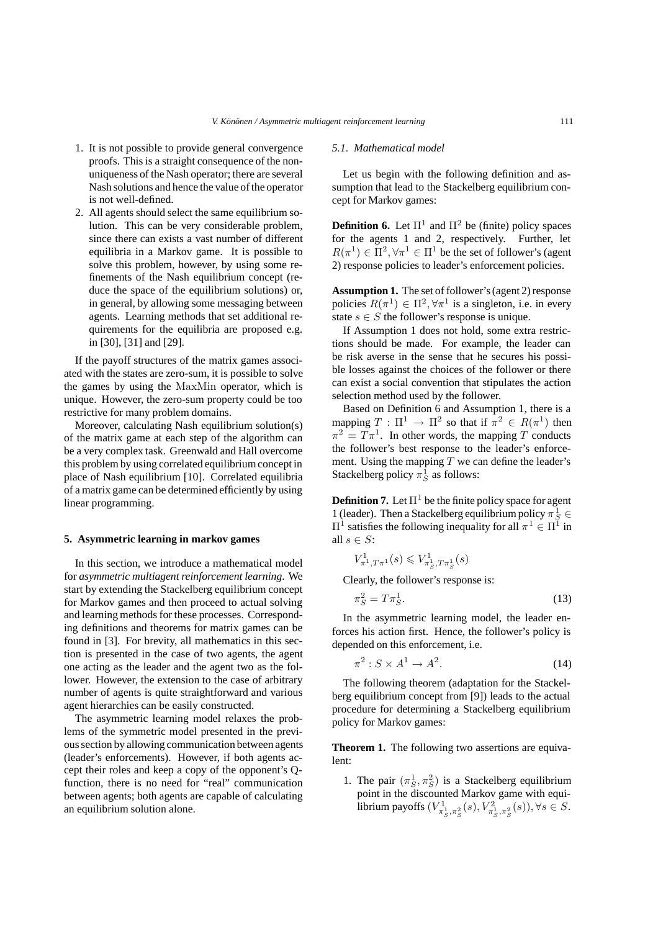- 1. It is not possible to provide general convergence proofs. This is a straight consequence of the nonuniqueness of the Nash operator; there are several Nash solutions and hence the value of the operator is not well-defined.
- 2. All agents should select the same equilibrium solution. This can be very considerable problem, since there can exists a vast number of different equilibria in a Markov game. It is possible to solve this problem, however, by using some refinements of the Nash equilibrium concept (reduce the space of the equilibrium solutions) or, in general, by allowing some messaging between agents. Learning methods that set additional requirements for the equilibria are proposed e.g. in [30], [31] and [29].

If the payoff structures of the matrix games associated with the states are zero-sum, it is possible to solve the games by using the MaxMin operator, which is unique. However, the zero-sum property could be too restrictive for many problem domains.

Moreover, calculating Nash equilibrium solution(s) of the matrix game at each step of the algorithm can be a very complex task. Greenwald and Hall overcome this problem by using correlated equilibrium concept in place of Nash equilibrium [10]. Correlated equilibria of a matrix game can be determined efficiently by using linear programming.

## **5. Asymmetric learning in markov games**

In this section, we introduce a mathematical model for *asymmetric multiagent reinforcement learning*. We start by extending the Stackelberg equilibrium concept for Markov games and then proceed to actual solving and learning methods for these processes. Corresponding definitions and theorems for matrix games can be found in [3]. For brevity, all mathematics in this section is presented in the case of two agents, the agent one acting as the leader and the agent two as the follower. However, the extension to the case of arbitrary number of agents is quite straightforward and various agent hierarchies can be easily constructed.

The asymmetric learning model relaxes the problems of the symmetric model presented in the previous section by allowing communication between agents (leader's enforcements). However, if both agents accept their roles and keep a copy of the opponent's Qfunction, there is no need for "real" communication between agents; both agents are capable of calculating an equilibrium solution alone.

#### *5.1. Mathematical model*

Let us begin with the following definition and assumption that lead to the Stackelberg equilibrium concept for Markov games:

**Definition 6.** Let  $\Pi^1$  and  $\Pi^2$  be (finite) policy spaces for the agents 1 and 2, respectively. Further, let  $R(\pi^1) \in \Pi^2, \forall \pi^1 \in \Pi^1$  be the set of follower's (agent 2) response policies to leader's enforcement policies.

**Assumption 1.** The set of follower's (agent 2) response policies  $R(\pi^1) \in \Pi^2, \forall \pi^1$  is a singleton, i.e. in every state  $s \in S$  the follower's response is unique.

If Assumption 1 does not hold, some extra restrictions should be made. For example, the leader can be risk averse in the sense that he secures his possible losses against the choices of the follower or there can exist a social convention that stipulates the action selection method used by the follower.

Based on Definition 6 and Assumption 1, there is a mapping  $T : \Pi^1 \to \Pi^2$  so that if  $\pi^2 \in R(\pi^1)$  then  $\pi^2 = T \pi^1$ . In other words, the mapping T conducts the follower's best response to the leader's enforcement. Using the mapping  $T$  we can define the leader's Stackelberg policy  $\pi_S^1$  as follows:

**Definition 7.** Let  $\Pi^1$  be the finite policy space for agent 1 (leader). Then a Stackelberg equilibrium policy  $\pi_S^1 \in \Pi^1$  satisfies the following inequality for all  $\pi^1 \in \Pi^1$  in  $\Pi^1$  satisfies the following inequality for all  $\pi^1 \in \Pi^1$  in all  $s \in S$ :

$$
V_{\pi^1, T\pi^1}^1(s) \leqslant V_{\pi_S^1, T\pi_S^1}^1(s)
$$

Clearly, the follower's response is:

$$
\pi_S^2 = T\pi_S^1. \tag{13}
$$

In the asymmetric learning model, the leader enforces his action first. Hence, the follower's policy is depended on this enforcement, i.e.

$$
\pi^2 : S \times A^1 \to A^2. \tag{14}
$$

The following theorem (adaptation for the Stackelberg equilibrium concept from [9]) leads to the actual procedure for determining a Stackelberg equilibrium policy for Markov games:

**Theorem 1.** The following two assertions are equivalent:

1. The pair  $(\pi_S^1, \pi_S^2)$  is a Stackelberg equilibrium<br>point in the discounted Markov game with equi-The pair  $(\pi_{\bar{S}}, \pi_{\bar{S}})$  is a Stackenberg equinorium<br>point in the discounted Markov game with equilibrium payoffs  $(V_{\pi_S^1, \pi_S^2}^1(s), V_{\pi_S^1, \pi_S^2}^2(s)), \forall s \in S$ .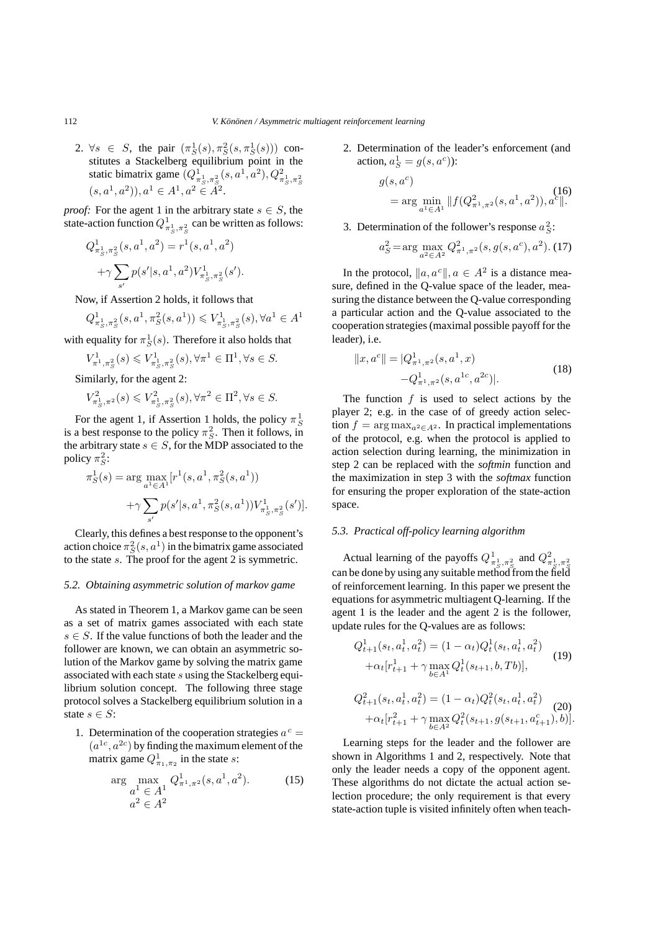2.  $\forall s \in S$ , the pair  $(\pi_S^1(s), \pi_S^2(s, \pi_S^1(s)))$  con- $\forall s \in S$ , the pair  $(\pi_S^1(s), \pi_S^2(s, \pi_S^1(s)))$  constitutes a Stackelberg equilibrium point in the static bimatrix game  $(Q_{\pi_S^1, \pi_S^2}^1(s, a^1, a^2), Q_{\pi_S^1, \pi_S^2}^2(s, a^1, a^2), Q_{\pi_S^1, \pi_S^2}^2(s, a^1, a^2))$ ,  $a^1 \in A^1, a^2 \in A^2$ .

*proof:* For the agent 1 in the arbitrary state  $s \in S$ , the state-action function  $O^1$ , see an be written as follows: state-action function  $Q_{\pi_S^1, \pi_S^2}^1$  can be written as follows:

$$
Q_{\pi_S^1, \pi_S^2}^1(s, a^1, a^2) = r^1(s, a^1, a^2)
$$

$$
+ \gamma \sum_{s'} p(s'|s, a^1, a^2) V_{\pi_S^1, \pi_S^2}^1(s').
$$

Now, if Assertion 2 holds, it follows that

$$
Q_{\pi_S^1, \pi_S^2}^1(s, a^1, \pi_S^2(s, a^1)) \leqslant V_{\pi_S^1, \pi_S^2}^1(s), \forall a^1 \in A^1
$$

with equality for  $\pi_S^1(s)$ . Therefore it also holds that

$$
V_{\pi^1, \pi_S^2}^1(s) \leq V_{\pi_S^1, \pi_S^2}^1(s), \forall \pi^1 \in \Pi^1, \forall s \in S.
$$

Similarly, for the agent 2:

$$
V^2_{\pi_S^1, \pi^2}(s) \leq V^2_{\pi_S^1, \pi_S^2}(s), \forall \pi^2 \in \Pi^2, \forall s \in S.
$$

For the agent 1, if Assertion 1 holds, the policy  $\pi_S^1$ <br>a best response to the policy  $\pi^2$ . Then it follows in is a best response to the policy  $\pi_S^2$ . Then it follows, in<br>the arbitrary state  $s \in S$ , for the MDP associated to the the arbitrary state  $s \in S$ , for the MDP associated to the policy  $\pi_S^2$ :

$$
\pi_S^1(s) = \arg \max_{a^1 \in A^1} [r^1(s, a^1, \pi_S^2(s, a^1)) + \gamma \sum_{s'} p(s'|s, a^1, \pi_S^2(s, a^1)) V_{\pi_S^1, \pi_S^2}^1(s')].
$$

Clearly, this defines a best response to the opponent's action choice  $\pi_S^2(s, a^1)$  in the bimatrix game associated<br>to the state s. The proof for the agent 2 is symmetric to the state s. The proof for the agent 2 is symmetric.

# *5.2. Obtaining asymmetric solution of markov game*

As stated in Theorem 1, a Markov game can be seen as a set of matrix games associated with each state  $s \in S$ . If the value functions of both the leader and the follower are known, we can obtain an asymmetric solution of the Markov game by solving the matrix game associated with each state s using the Stackelberg equilibrium solution concept. The following three stage protocol solves a Stackelberg equilibrium solution in a state  $s \in S$ :

1. Determination of the cooperation strategies  $a^c =$  $(a^{1c}, a^{2c})$  by finding the maximum element of the matrix game  $Q_{\pi_1, \pi_2}^1$  in the state *s*:

$$
\arg\max_{\substack{a^1 \in A^1\\a^2 \in A^2}} Q^1_{\pi^1, \pi^2}(s, a^1, a^2). \tag{15}
$$
\n
$$
a^2 \in A^2
$$

2. Determination of the leader's enforcement (and action,  $a_S^1 = g(s, a^c)$ :

$$
g(s, a^c)
$$
  
= arg min<sub>a<sup>1</sup>∈A<sup>1</sup></sub> ||f(Q<sup>2</sup><sub>π<sup>1</sup>,π<sup>2</sup></sub>(s, a<sup>1</sup>, a<sup>2</sup>)), a<sup>c</sup>||.

3. Determination of the follower's response  $a_5^2$ :

$$
a_S^2 = \arg\max_{a^2 \in A^2} Q_{\pi^1, \pi^2}^2(s, g(s, a^c), a^2).
$$
 (17)

In the protocol,  $\|a, a^c\|, a \in A^2$  is a distance measure, defined in the Q-value space of the leader, measuring the distance between the Q-value corresponding a particular action and the Q-value associated to the cooperation strategies (maximal possible payoff for the leader), i.e.

$$
||x, a^c|| = |Q_{\pi^1, \pi^2}^1(s, a^1, x) - Q_{\pi^1, \pi^2}^1(s, a^{1c}, a^{2c})|.
$$
 (18)

The function  $f$  is used to select actions by the player 2; e.g. in the case of of greedy action selection  $f = \arg \max_{a^2 \in A^2}$ . In practical implementations of the protocol, e.g. when the protocol is applied to action selection during learning, the minimization in step 2 can be replaced with the *softmin* function and the maximization in step 3 with the *softmax* function for ensuring the proper exploration of the state-action space.

# *5.3. Practical off-policy learning algorithm*

Actual learning of the payoffs  $Q_{\pi_S^1, \pi_S^2}^{\perp}$  and  $Q_{\pi_S^1, \pi_S^2}^{\perp}$ *S S* can be done by using any suitable method from the field of reinforcement learning. In this paper we present the equations for asymmetric multiagent Q-learning. If the agent 1 is the leader and the agent 2 is the follower, update rules for the Q-values are as follows:

$$
Q_{t+1}^1(s_t, a_t^1, a_t^2) = (1 - \alpha_t) Q_t^1(s_t, a_t^1, a_t^2)
$$
  
 
$$
+ \alpha_t [r_{t+1}^1 + \gamma \max_{b \in A^1} Q_t^1(s_{t+1}, b, Tb)],
$$
 (19)

$$
Q_{t+1}^2(s_t, a_t^1, a_t^2) = (1 - \alpha_t) Q_t^2(s_t, a_t^1, a_t^2)
$$
  
+
$$
\alpha_t [r_{t+1}^2 + \gamma \max_{b \in A^2} Q_t^2(s_{t+1}, g(s_{t+1}, a_{t+1}^c), b)].
$$

Learning steps for the leader and the follower are shown in Algorithms 1 and 2, respectively. Note that only the leader needs a copy of the opponent agent. These algorithms do not dictate the actual action selection procedure; the only requirement is that every state-action tuple is visited infinitely often when teach-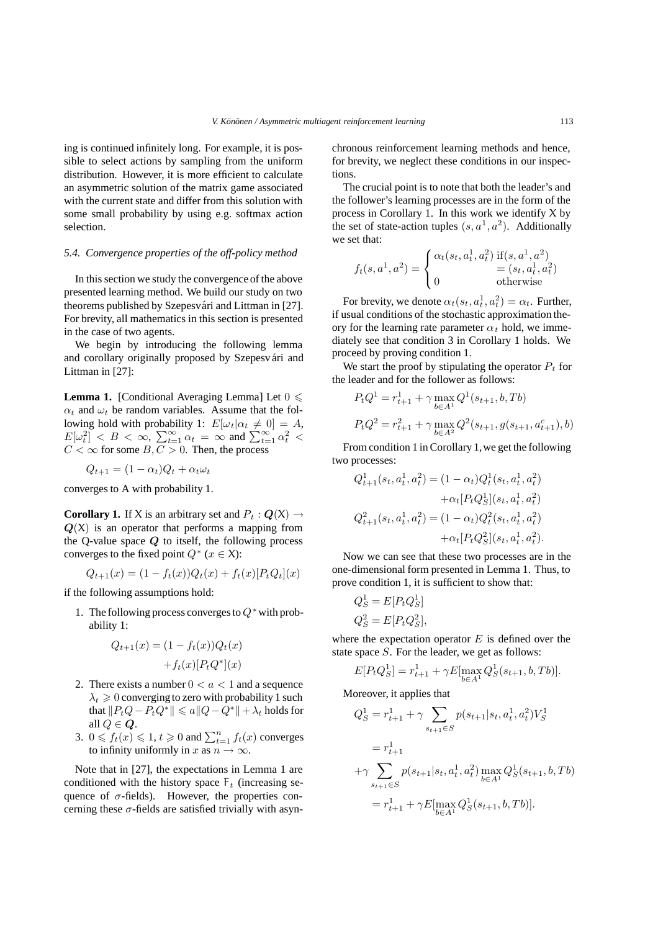ing is continued infinitely long. For example, it is possible to select actions by sampling from the uniform distribution. However, it is more efficient to calculate an asymmetric solution of the matrix game associated with the current state and differ from this solution with some small probability by using e.g. softmax action selection.

#### *5.4. Convergence properties of the off-policy method*

In this section we study the convergence of the above presented learning method. We build our study on two theorems published by Szepesvári and Littman in [27]. For brevity, all mathematics in this section is presented in the case of two agents.

We begin by introducing the following lemma and corollary originally proposed by Szepesvári and Littman in [27]:

**Lemma 1.** [Conditional Averaging Lemma] Let  $0 \le$  $\alpha_t$  and  $\omega_t$  be random variables. Assume that the fol-<br>lowing hold with probability 1:  $E[\omega_t | \alpha_t \neq 0] = A$ lowing hold with probability 1:  $E[\omega_t | \alpha_t \neq 0] = A$ ,<br> $E[\omega^2] \leq B \leq \infty$ ,  $\sum_{n=1}^{\infty} C_n = \infty$  and  $\sum_{n=1}^{\infty} C_n^2 \leq$  $E[\omega_t^2] < B < \infty$ ,  $\sum_{t=1}^{\infty} \alpha_t = \infty$  and  $\sum_{t=1}^{\infty} \alpha_t^2 < C < \infty$  for some  $B, C > 0$ . Then, the process

$$
Q_{t+1} = (1 - \alpha_t)Q_t + \alpha_t \omega_t
$$

converges to A with probability 1.

**Corollary 1.** If X is an arbitrary set and  $P_t$  :  $Q(X) \rightarrow$  $Q(X)$  is an operator that performs a mapping from the Q-value space *Q* to itself, the following process converges to the fixed point  $Q^*$  ( $x \in X$ ):

$$
Q_{t+1}(x) = (1 - f_t(x))Q_t(x) + f_t(x)[P_tQ_t](x)
$$

if the following assumptions hold:

1. The following process converges to  $Q^*$  with probability 1:

$$
Q_{t+1}(x) = (1 - f_t(x))Q_t(x)
$$

$$
+ f_t(x)[P_tQ^*](x)
$$

- 2. There exists a number  $0 < a < 1$  and a sequence  $\lambda_t \geq 0$  converging to zero with probability 1 such<br>that  $||P_{\alpha}Q - P_{\alpha}Q^*|| \leq a||Q - Q^*|| + \lambda$ , holds for that  $||P_tQ - P_tQ^*|| \le a||Q - Q^*|| + \lambda_t$  holds for all  $Q \in \mathbb{Q}$ .
- 3.  $0 \le f_t(x) \le 1, t \ge 0$  and  $\sum_{t=1}^n f_t(x)$  converges to infinity uniformly in  $x$  as  $n \to \infty$ to infinity uniformly in x as  $n \to \infty$ .

Note that in [27], the expectations in Lemma 1 are conditioned with the history space  $F_t$  (increasing sequence of  $\sigma$ -fields). However, the properties concerning these  $\sigma$ -fields are satisfied trivially with asynchronous reinforcement learning methods and hence, for brevity, we neglect these conditions in our inspections.

The crucial point is to note that both the leader's and the follower's learning processes are in the form of the process in Corollary 1. In this work we identify  $X$  by the set of state-action tuples  $(s, a^1, a^2)$ . Additionally we set that:

$$
f_t(s, a^1, a^2) = \begin{cases} \alpha_t(s_t, a_t^1, a_t^2) & \text{if}(s, a^1, a^2) \\ = (s_t, a_t^1, a_t^2) \\ 0 & \text{otherwise} \end{cases}
$$

For brevity, we denote  $\alpha_t(s_t, a_t^1, a_t^2) = \alpha_t$ . Further,<br>usual conditions of the stochastic approximation the-For brevity, we denote  $\alpha_t(s_t, a_{\bar{t}}, a_{\bar{t}}) = \alpha_t$ . Further,<br>if usual conditions of the stochastic approximation theory for the learning rate parameter  $\alpha_t$  hold, we immediately see that condition 3 in Corollary 1 holds. We proceed by proving condition 1.

We start the proof by stipulating the operator  $P_t$  for the leader and for the follower as follows:

$$
P_t Q^1 = r_{t+1}^1 + \gamma \max_{b \in A^1} Q^1(s_{t+1}, b, Tb)
$$
  

$$
P_t Q^2 = r_{t+1}^2 + \gamma \max_{b \in A^2} Q^2(s_{t+1}, g(s_{t+1}, a_{t+1}^c), b)
$$

From condition 1 in Corollary 1, we get the following two processes:

$$
Q_{t+1}^1(s_t, a_t^1, a_t^2) = (1 - \alpha_t) Q_t^1(s_t, a_t^1, a_t^2)
$$

$$
+ \alpha_t [P_t Q_S^1](s_t, a_t^1, a_t^2)
$$

$$
Q_{t+1}^2(s_t, a_t^1, a_t^2) = (1 - \alpha_t) Q_t^2(s_t, a_t^1, a_t^2)
$$

$$
+ \alpha_t [P_t Q_S^2](s_t, a_t^1, a_t^2).
$$

Now we can see that these two processes are in the one-dimensional form presented in Lemma 1. Thus, to prove condition 1, it is sufficient to show that:

$$
Q_S^1 = E[P_t Q_S^1]
$$
  

$$
Q_S^2 = E[P_t Q_S^2],
$$

where the expectation operator  $E$  is defined over the state space S. For the leader, we get as follows:

$$
E[P_tQ_S^1] = r_{t+1}^1 + \gamma E[\max_{b \in A^1} Q_S^1(s_{t+1}, b, Tb)].
$$

Moreover, it applies that

$$
Q_S^1 = r_{t+1}^1 + \gamma \sum_{s_{t+1} \in S} p(s_{t+1}|s_t, a_t^1, a_t^2) V_S^1
$$
  
=  $r_{t+1}^1$   
+ $\gamma \sum_{s_{t+1} \in S} p(s_{t+1}|s_t, a_t^1, a_t^2) \max_{b \in A^1} Q_S^1(s_{t+1}, b, Tb)$   
=  $r_{t+1}^1 + \gamma E[\max_{b \in A^1} Q_S^1(s_{t+1}, b, Tb)].$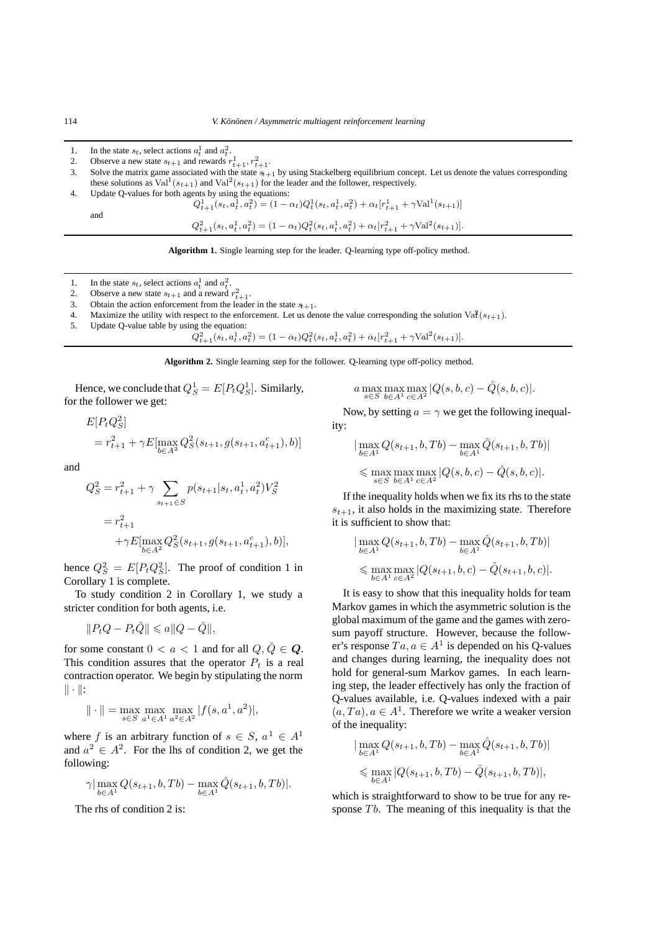1. In the state  $s_t$ , select actions  $a_t^1$  and  $a_t^2$ .

2. Observe a new state  $s_{t+1}$  and rewards  $r_{t+1}^1, r_{t+1}^2$ .

3. Solve the matrix game associated with the state s*t*+1 by using Stackelberg equilibrium concept. Let us denote the values corresponding these solutions as Val<sup>1</sup>( $s_{t+1}$ ) and Val<sup>2</sup>( $s_{t+1}$ ) for the leader and the follower, respectively.<br>Update O-values for both agents by using the equations:

4. Update Q-values for both agents by using the equations:

$$
Q_{t+1}^1(s_t, a_t^1, a_t^2) = (1 - \alpha_t)Q_t^1(s_t, a_t^1, a_t^2) + \alpha_t[r_{t+1}^1 + \gamma \text{Val}^1(s_{t+1})]
$$

$$
Q_{t+1}^{2}(s_{t}, a_{t}^{1}, a_{t}^{2}) = (1 - \alpha_{t})Q_{t}^{2}(s_{t}, a_{t}^{1}, a_{t}^{2}) + \alpha_{t}[r_{t+1}^{2} + \gamma \text{Val}^{2}(s_{t+1})].
$$

**Algorithm 1.** Single learning step for the leader. Q-learning type off-policy method.

- 1. In the state  $s_t$ , select actions  $a_t^1$  and  $a_t^2$ .
- 2. Observe a new state  $s_{t+1}$  and a reward  $r_{t+1}^2$ .
- 3. Obtain the action enforcement from the leader in the state  $s_{t+1}$ .
- 4. Maximize the utility with respect to the enforcement. Let us denote the value corresponding the solution Va $\hat{R}(s_{t+1})$ .<br>5. Update Q-value table by using the equation:
- Update Q-value table by using the equation:

$$
Q_{t+1}^{2}(s_{t}, a_{t}^{1}, a_{t}^{2}) = (1 - \alpha_{t})Q_{t}^{2}(s_{t}, a_{t}^{1}, a_{t}^{2}) + \alpha_{t}[r_{t+1}^{2} + \gamma \text{Val}^{2}(s_{t+1})].
$$

**Algorithm 2.** Single learning step for the follower. Q-learning type off-policy method.

Hence, we conclude that  $Q_S^1 = E[P_tQ_S^1]$ . Similarly, for the follower we get:

$$
E[P_t Q_S^2]
$$
  
=  $r_{t+1}^2 + \gamma E[\max_{b \in A^2} Q_S^2(s_{t+1}, g(s_{t+1}, a_{t+1}^c), b)]$ 

and

$$
Q_S^2 = r_{t+1}^2 + \gamma \sum_{s_{t+1} \in S} p(s_{t+1}|s_t, a_t^1, a_t^2) V_S^2
$$
  
=  $r_{t+1}^2$   
+ $\gamma E[\max_{b \in A^2} Q_S^2(s_{t+1}, g(s_{t+1}, a_{t+1}^c), b)],$ 

hence  $Q_S^2 = E[P_t Q_S^2]$ . The proof of condition 1 in<br>Corollary 1 is complete Corollary 1 is complete.

To study condition 2 in Corollary 1, we study a stricter condition for both agents, i.e.

$$
||P_tQ - P_t\hat{Q}|| \le a||Q - \hat{Q}||,
$$

for some constant  $0 < a < 1$  and for all  $Q, \hat{Q} \in \mathbf{Q}$ . This condition assures that the operator  $P_t$  is a real contraction operator. We begin by stipulating the norm  $\|\cdot\|$ :

$$
\|\cdot\| = \max_{s \in S} \max_{a^1 \in A^1} \max_{a^2 \in A^2} |f(s, a^1, a^2)|,
$$

where f is an arbitrary function of  $s \in S$ ,  $a^1 \in A^1$ and  $a^2 \in A^2$ . For the lhs of condition 2, we get the following:

$$
\gamma \big| \max_{b \in A^1} Q(s_{t+1}, b, Tb) - \max_{b \in A^1} \hat{Q}(s_{t+1}, b, Tb) \big|.
$$

The rhs of condition 2 is:

$$
a \max_{s \in S} \max_{b \in A^1} \max_{c \in A^2} |Q(s, b, c) - \hat{Q}(s, b, c)|.
$$

Now, by setting  $a = \gamma$  we get the following inequality:

$$
|\max_{b \in A^1} Q(s_{t+1}, b, Tb) - \max_{b \in A^1} \hat{Q}(s_{t+1}, b, Tb)|
$$
  
\$\leq\$ max max max max  $|Q(s, b, c) - \hat{Q}(s, b, c)|$ .  
\$\leq S\$ b \in A<sup>1</sup> c \in A<sup>2</sup>

If the inequality holds when we fix its rhs to the state  $s_{t+1}$ , it also holds in the maximizing state. Therefore it is sufficient to show that:

$$
|\max_{b \in A^1} Q(s_{t+1}, b, Tb) - \max_{b \in A^1} \hat{Q}(s_{t+1}, b, Tb)|
$$
  
\$\leq\$ max max  $|Q(s_{t+1}, b, c) - \hat{Q}(s_{t+1}, b, c)|$ .  
\$\leq\$  $b \in A^1$   $c \in A^2$ 

It is easy to show that this inequality holds for team Markov games in which the asymmetric solution is the global maximum of the game and the games with zerosum payoff structure. However, because the follower's response  $Ta, a \in A<sup>1</sup>$  is depended on his Q-values and changes during learning, the inequality does not hold for general-sum Markov games. In each learning step, the leader effectively has only the fraction of Q-values available, i.e. Q-values indexed with a pair  $(a, Ta), a \in A<sup>1</sup>$ . Therefore we write a weaker version of the inequality:

$$
|\max_{b \in A^1} Q(s_{t+1}, b, Tb) - \max_{b \in A^1} \hat{Q}(s_{t+1}, b, Tb)|
$$
  

$$
\leq \max_{b \in A^1} |Q(s_{t+1}, b, Tb) - \hat{Q}(s_{t+1}, b, Tb)|,
$$

which is straightforward to show to be true for any response  $Tb$ . The meaning of this inequality is that the

and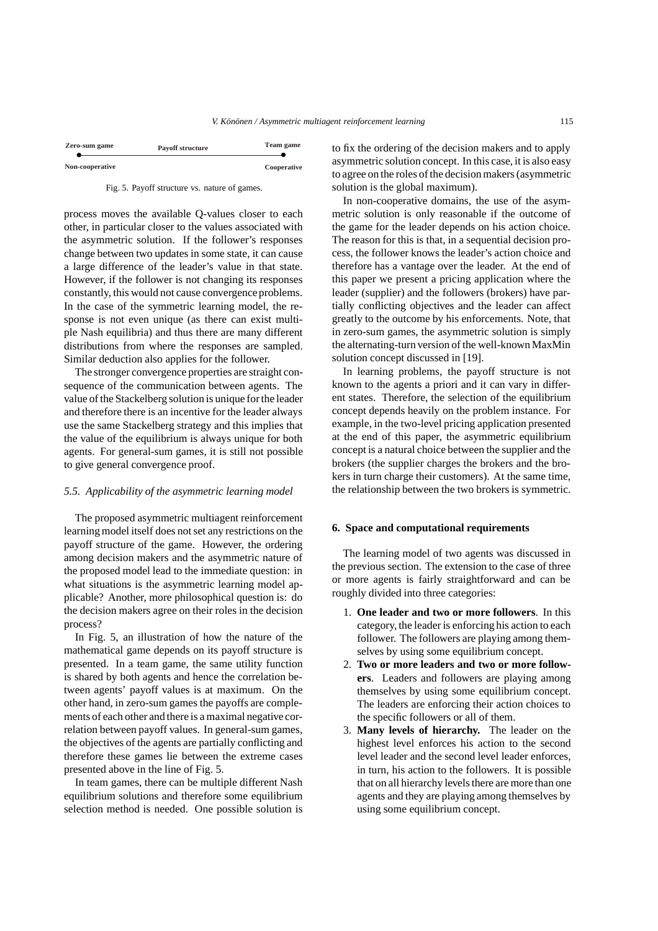| Zero-sum game   | <b>Payoff structure</b> | Team game   |
|-----------------|-------------------------|-------------|
| Non-cooperative |                         | Cooperative |



process moves the available Q-values closer to each other, in particular closer to the values associated with the asymmetric solution. If the follower's responses change between two updates in some state, it can cause a large difference of the leader's value in that state. However, if the follower is not changing its responses constantly, this would not cause convergence problems. In the case of the symmetric learning model, the response is not even unique (as there can exist multiple Nash equilibria) and thus there are many different distributions from where the responses are sampled. Similar deduction also applies for the follower.

The stronger convergence properties are straight consequence of the communication between agents. The value of the Stackelberg solution is unique for the leader and therefore there is an incentive for the leader always use the same Stackelberg strategy and this implies that the value of the equilibrium is always unique for both agents. For general-sum games, it is still not possible to give general convergence proof.

## *5.5. Applicability of the asymmetric learning model*

The proposed asymmetric multiagent reinforcement learning model itself does not set any restrictions on the payoff structure of the game. However, the ordering among decision makers and the asymmetric nature of the proposed model lead to the immediate question: in what situations is the asymmetric learning model applicable? Another, more philosophical question is: do the decision makers agree on their roles in the decision process?

In Fig. 5, an illustration of how the nature of the mathematical game depends on its payoff structure is presented. In a team game, the same utility function is shared by both agents and hence the correlation between agents' payoff values is at maximum. On the other hand, in zero-sum games the payoffs are complements of each other and there is a maximal negative correlation between payoff values. In general-sum games, the objectives of the agents are partially conflicting and therefore these games lie between the extreme cases presented above in the line of Fig. 5.

In team games, there can be multiple different Nash equilibrium solutions and therefore some equilibrium selection method is needed. One possible solution is to fix the ordering of the decision makers and to apply asymmetric solution concept. In this case, it is also easy to agree on the roles of the decision makers (asymmetric solution is the global maximum).

In non-cooperative domains, the use of the asymmetric solution is only reasonable if the outcome of the game for the leader depends on his action choice. The reason for this is that, in a sequential decision process, the follower knows the leader's action choice and therefore has a vantage over the leader. At the end of this paper we present a pricing application where the leader (supplier) and the followers (brokers) have partially conflicting objectives and the leader can affect greatly to the outcome by his enforcements. Note, that in zero-sum games, the asymmetric solution is simply the alternating-turn version of the well-known MaxMin solution concept discussed in [19].

In learning problems, the payoff structure is not known to the agents a priori and it can vary in different states. Therefore, the selection of the equilibrium concept depends heavily on the problem instance. For example, in the two-level pricing application presented at the end of this paper, the asymmetric equilibrium concept is a natural choice between the supplier and the brokers (the supplier charges the brokers and the brokers in turn charge their customers). At the same time, the relationship between the two brokers is symmetric.

### **6. Space and computational requirements**

The learning model of two agents was discussed in the previous section. The extension to the case of three or more agents is fairly straightforward and can be roughly divided into three categories:

- 1. **One leader and two or more followers**. In this category, the leader is enforcing his action to each follower. The followers are playing among themselves by using some equilibrium concept.
- 2. **Two or more leaders and two or more followers**. Leaders and followers are playing among themselves by using some equilibrium concept. The leaders are enforcing their action choices to the specific followers or all of them.
- 3. **Many levels of hierarchy.** The leader on the highest level enforces his action to the second level leader and the second level leader enforces, in turn, his action to the followers. It is possible that on all hierarchy levels there are more than one agents and they are playing among themselves by using some equilibrium concept.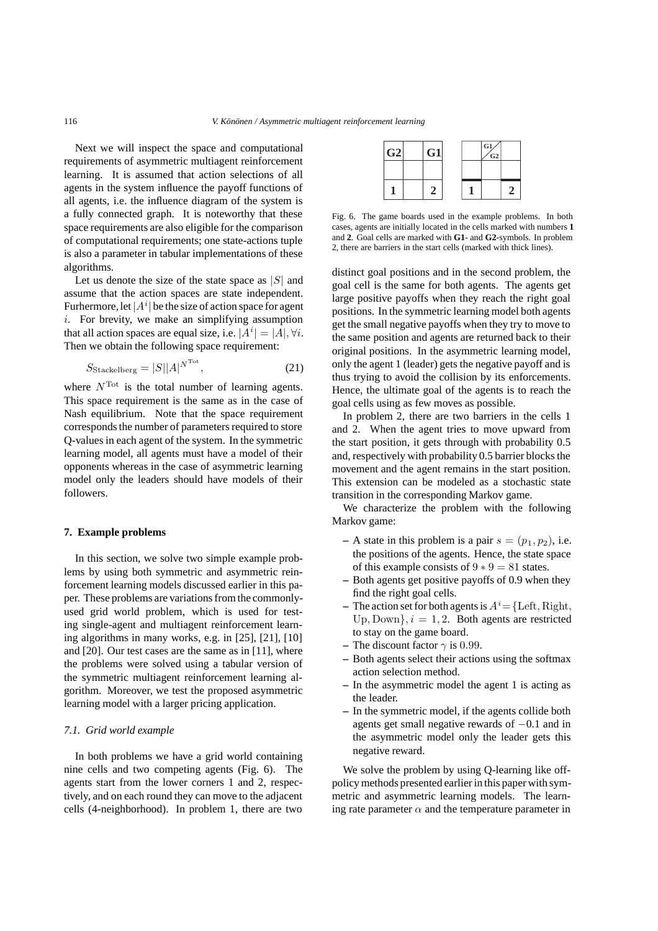Next we will inspect the space and computational requirements of asymmetric multiagent reinforcement learning. It is assumed that action selections of all agents in the system influence the payoff functions of all agents, i.e. the influence diagram of the system is a fully connected graph. It is noteworthy that these space requirements are also eligible for the comparison of computational requirements; one state-actions tuple is also a parameter in tabular implementations of these algorithms.

Let us denote the size of the state space as  $|S|$  and assume that the action spaces are state independent. Furhermore, let  $|A^i|$  be the size of action space for agent<br>i. For brevity, we make an simplifying assumption i. For brevity, we make an simplifying assumption that all action spaces are equal size, i.e.  $|A^i| = |A|, \forall i$ .<br>Then we obtain the following space requirement: Then we obtain the following space requirement:

$$
S_{\text{Stackelberg}} = |S||A|^{N^{\text{Tot}}},\tag{21}
$$

where  $N<sup>Tot</sup>$  is the total number of learning agents. This space requirement is the same as in the case of Nash equilibrium. Note that the space requirement corresponds the number of parameters required to store Q-values in each agent of the system. In the symmetric learning model, all agents must have a model of their opponents whereas in the case of asymmetric learning model only the leaders should have models of their followers.

# **7. Example problems**

In this section, we solve two simple example problems by using both symmetric and asymmetric reinforcement learning models discussed earlier in this paper. These problems are variations from the commonlyused grid world problem, which is used for testing single-agent and multiagent reinforcement learning algorithms in many works, e.g. in [25], [21], [10] and [20]. Our test cases are the same as in [11], where the problems were solved using a tabular version of the symmetric multiagent reinforcement learning algorithm. Moreover, we test the proposed asymmetric learning model with a larger pricing application.

### *7.1. Grid world example*

In both problems we have a grid world containing nine cells and two competing agents (Fig. 6). The agents start from the lower corners 1 and 2, respectively, and on each round they can move to the adjacent cells (4-neighborhood). In problem 1, there are two

| G2 | G1 |  | $ G1\rangle$<br>$\sqrt{G2}$ |  |
|----|----|--|-----------------------------|--|
|    |    |  |                             |  |
|    |    |  |                             |  |

Fig. 6. The game boards used in the example problems. In both cases, agents are initially located in the cells marked with numbers **1** and **2**. Goal cells are marked with **G1**- and **G2**-symbols. In problem 2, there are barriers in the start cells (marked with thick lines).

distinct goal positions and in the second problem, the goal cell is the same for both agents. The agents get large positive payoffs when they reach the right goal positions. In the symmetric learning model both agents get the small negative payoffs when they try to move to the same position and agents are returned back to their original positions. In the asymmetric learning model, only the agent 1 (leader) gets the negative payoff and is thus trying to avoid the collision by its enforcements. Hence, the ultimate goal of the agents is to reach the goal cells using as few moves as possible.

In problem 2, there are two barriers in the cells 1 and 2. When the agent tries to move upward from the start position, it gets through with probability 0.5 and, respectively with probability 0.5 barrier blocks the movement and the agent remains in the start position. This extension can be modeled as a stochastic state transition in the corresponding Markov game.

We characterize the problem with the following Markov game:

- $-$  A state in this problem is a pair  $s = (p_1, p_2)$ , i.e. the positions of the agents. Hence, the state space of this example consists of  $9 * 9 = 81$  states.
- **–** Both agents get positive payoffs of 0.9 when they find the right goal cells.
- **–** The action set for both agents is  $A^i = \{\text{Left}, \text{Right}, \text{Right}\}\$ Up, Down $\{i = 1, 2\}$ . Both agents are restricted to stay on the game board.
- **–** The discount factor  $\gamma$  is 0.99.
- **–** Both agents select their actions using the softmax action selection method.
- **–** In the asymmetric model the agent 1 is acting as the leader.
- **–** In the symmetric model, if the agents collide both agents get small negative rewards of −0.1 and in the asymmetric model only the leader gets this negative reward.

We solve the problem by using O-learning like offpolicy methods presented earlier in this paper with symmetric and asymmetric learning models. The learning rate parameter  $\alpha$  and the temperature parameter in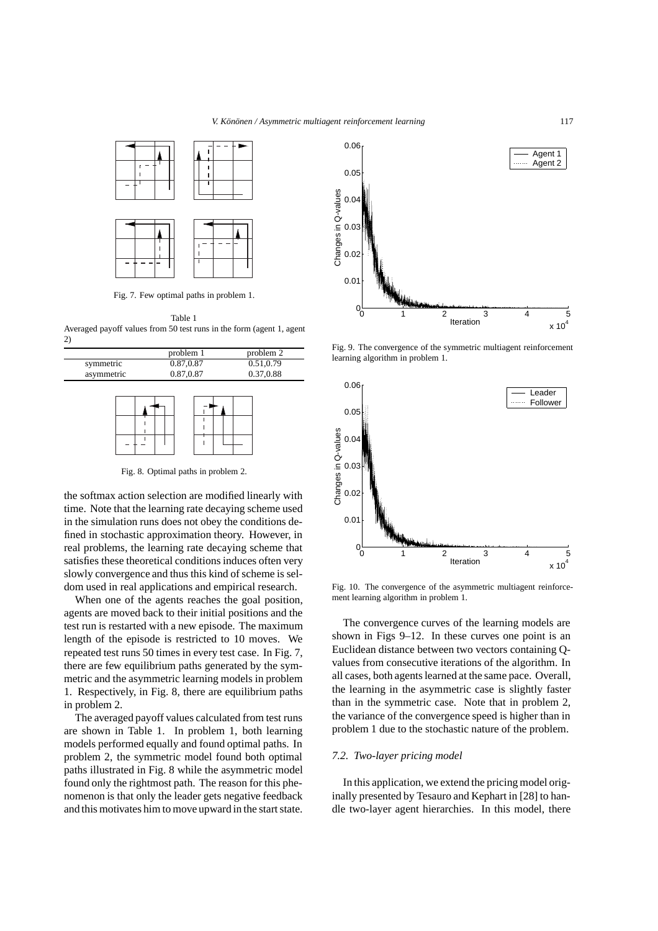

Fig. 7. Few optimal paths in problem 1.

Table 1 Averaged payoff values from 50 test runs in the form (agent 1, agent 2)

|            | problem 1 | problem 2 |
|------------|-----------|-----------|
| symmetric  | 0.87,0.87 | 0.51.0.79 |
| asymmetric | 0.87,0.87 | 0.37,0.88 |

Fig. 8. Optimal paths in problem 2.

the softmax action selection are modified linearly with time. Note that the learning rate decaying scheme used in the simulation runs does not obey the conditions defined in stochastic approximation theory. However, in real problems, the learning rate decaying scheme that satisfies these theoretical conditions induces often very slowly convergence and thus this kind of scheme is seldom used in real applications and empirical research.

When one of the agents reaches the goal position, agents are moved back to their initial positions and the test run is restarted with a new episode. The maximum length of the episode is restricted to 10 moves. We repeated test runs 50 times in every test case. In Fig. 7, there are few equilibrium paths generated by the symmetric and the asymmetric learning models in problem 1. Respectively, in Fig. 8, there are equilibrium paths in problem 2.

The averaged payoff values calculated from test runs are shown in Table 1. In problem 1, both learning models performed equally and found optimal paths. In problem 2, the symmetric model found both optimal paths illustrated in Fig. 8 while the asymmetric model found only the rightmost path. The reason for this phenomenon is that only the leader gets negative feedback and this motivates him to move upward in the start state.



Fig. 9. The convergence of the symmetric multiagent reinforcement learning algorithm in problem 1.



Fig. 10. The convergence of the asymmetric multiagent reinforcement learning algorithm in problem 1.

The convergence curves of the learning models are shown in Figs 9–12. In these curves one point is an Euclidean distance between two vectors containing Qvalues from consecutive iterations of the algorithm. In all cases, both agents learned at the same pace. Overall, the learning in the asymmetric case is slightly faster than in the symmetric case. Note that in problem 2, the variance of the convergence speed is higher than in problem 1 due to the stochastic nature of the problem.

# *7.2. Two-layer pricing model*

In this application, we extend the pricing model originally presented by Tesauro and Kephart in [28] to handle two-layer agent hierarchies. In this model, there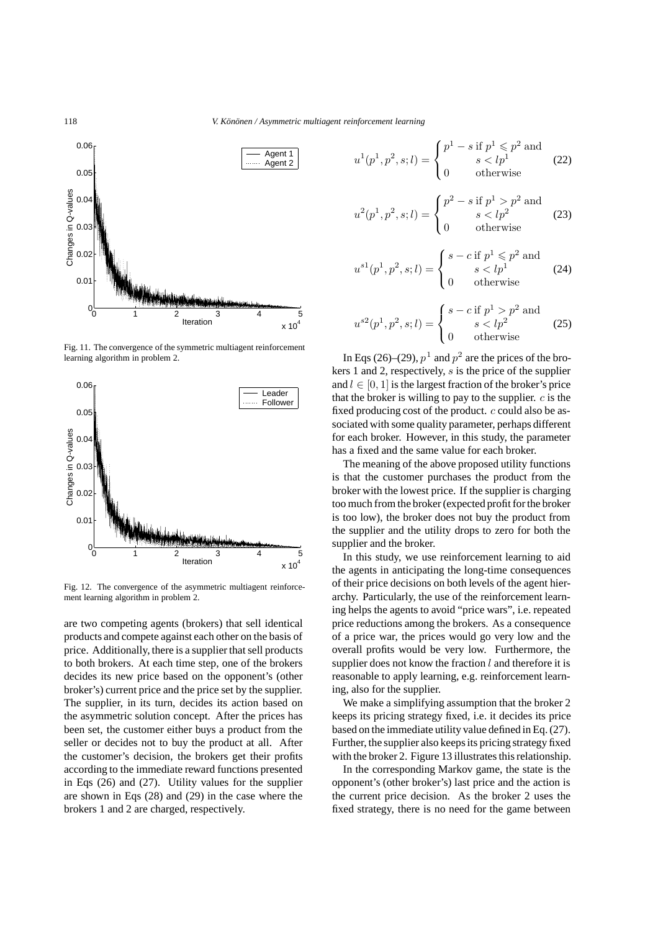118 *V. Könönen / Asymmetric multiagent reinforcement learning* 



Fig. 11. The convergence of the symmetric multiagent reinforcement learning algorithm in problem 2.



Fig. 12. The convergence of the asymmetric multiagent reinforcement learning algorithm in problem 2.

are two competing agents (brokers) that sell identical products and compete against each other on the basis of price. Additionally, there is a supplier that sell products to both brokers. At each time step, one of the brokers decides its new price based on the opponent's (other broker's) current price and the price set by the supplier. The supplier, in its turn, decides its action based on the asymmetric solution concept. After the prices has been set, the customer either buys a product from the seller or decides not to buy the product at all. After the customer's decision, the brokers get their profits according to the immediate reward functions presented in Eqs (26) and (27). Utility values for the supplier are shown in Eqs (28) and (29) in the case where the brokers 1 and 2 are charged, respectively.

$$
u^{1}(p^{1}, p^{2}, s; l) = \begin{cases} p^{1} - s \text{ if } p^{1} \leq p^{2} \text{ and} \\ s < l p^{1} \\ 0 \text{ otherwise} \end{cases}
$$
 (22)

$$
u^{2}(p^{1}, p^{2}, s; l) = \begin{cases} p^{2} - s \text{ if } p^{1} > p^{2} \text{ and} \\ s < l p^{2} \\ 0 \text{ otherwise} \end{cases}
$$
 (23)

$$
u^{s1}(p^1, p^2, s; l) = \begin{cases} s - c \text{ if } p^1 \leq p^2 \text{ and } \\ s < l p^1 \\ 0 & \text{otherwise} \end{cases} \tag{24}
$$

$$
u^{s2}(p^1, p^2, s; l) = \begin{cases} s - c \text{ if } p^1 > p^2 \text{ and} \\ s < l p^2 \\ 0 \text{ otherwise} \end{cases}
$$
 (25)

In Eqs (26)–(29),  $p<sup>1</sup>$  and  $p<sup>2</sup>$  are the prices of the brokers 1 and 2, respectively, s is the price of the supplier and  $l \in [0, 1]$  is the largest fraction of the broker's price that the broker is willing to pay to the supplier.  $c$  is the fixed producing cost of the product.  $c$  could also be associated with some quality parameter, perhaps different for each broker. However, in this study, the parameter has a fixed and the same value for each broker.

The meaning of the above proposed utility functions is that the customer purchases the product from the broker with the lowest price. If the supplier is charging too much from the broker (expected profit for the broker is too low), the broker does not buy the product from the supplier and the utility drops to zero for both the supplier and the broker.

In this study, we use reinforcement learning to aid the agents in anticipating the long-time consequences of their price decisions on both levels of the agent hierarchy. Particularly, the use of the reinforcement learning helps the agents to avoid "price wars", i.e. repeated price reductions among the brokers. As a consequence of a price war, the prices would go very low and the overall profits would be very low. Furthermore, the supplier does not know the fraction  $l$  and therefore it is reasonable to apply learning, e.g. reinforcement learning, also for the supplier.

We make a simplifying assumption that the broker 2 keeps its pricing strategy fixed, i.e. it decides its price based on the immediate utility value defined in Eq. (27). Further, the supplier also keeps its pricing strategy fixed with the broker 2. Figure 13 illustrates this relationship.

In the corresponding Markov game, the state is the opponent's (other broker's) last price and the action is the current price decision. As the broker 2 uses the fixed strategy, there is no need for the game between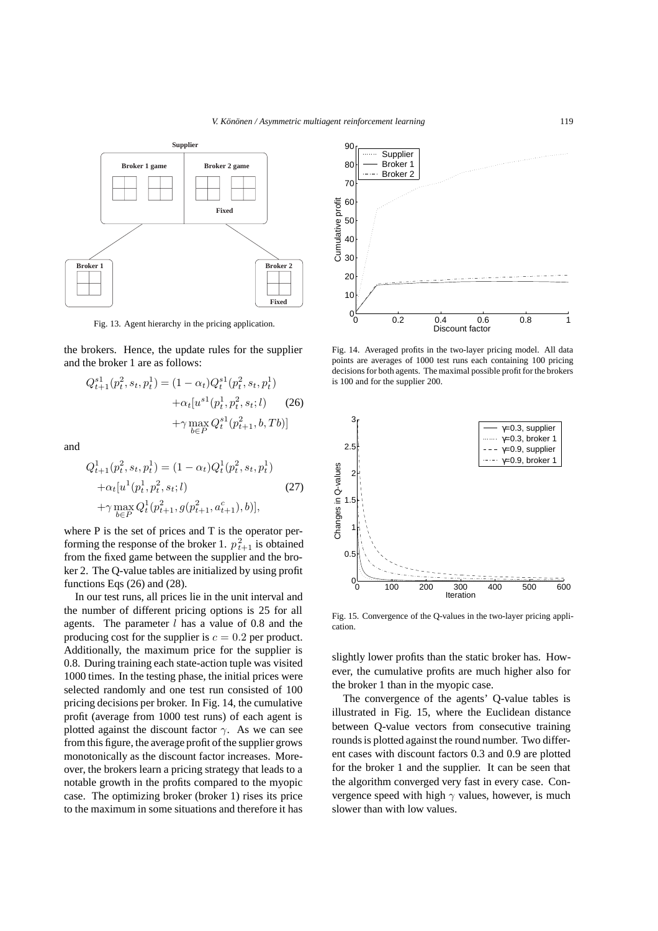

Fig. 13. Agent hierarchy in the pricing application.

the brokers. Hence, the update rules for the supplier and the broker 1 are as follows:

$$
Q_{t+1}^{s1}(p_t^2, s_t, p_t^1) = (1 - \alpha_t) Q_t^{s1}(p_t^2, s_t, p_t^1)
$$

$$
+ \alpha_t [u^{s1}(p_t^1, p_t^2, s_t; l) \qquad (26)
$$

$$
+ \gamma \max_{b \in P} Q_t^{s1}(p_{t+1}^2, b, Tb)]
$$

and

$$
Q_{t+1}^1(p_t^2, s_t, p_t^1) = (1 - \alpha_t) Q_t^1(p_t^2, s_t, p_t^1)
$$
  
+
$$
\alpha_t[u^1(p_t^1, p_t^2, s_t; l)
$$
  
+
$$
\gamma \max_{b \in P} Q_t^1(p_{t+1}^2, g(p_{t+1}^2, a_{t+1}^c), b)],
$$
 (27)

where P is the set of prices and T is the operator performing the response of the broker 1.  $p_{t+1}^2$  is obtained<br>from the fixed game between the supplier and the brofrom the fixed game between the supplier and the broker 2. The Q-value tables are initialized by using profit functions Eqs (26) and (28).

In our test runs, all prices lie in the unit interval and the number of different pricing options is 25 for all agents. The parameter  $l$  has a value of 0.8 and the producing cost for the supplier is  $c = 0.2$  per product. Additionally, the maximum price for the supplier is 0.8. During training each state-action tuple was visited 1000 times. In the testing phase, the initial prices were selected randomly and one test run consisted of 100 pricing decisions per broker. In Fig. 14, the cumulative profit (average from 1000 test runs) of each agent is plotted against the discount factor  $\gamma$ . As we can see from this figure, the average profit of the supplier grows monotonically as the discount factor increases. Moreover, the brokers learn a pricing strategy that leads to a notable growth in the profits compared to the myopic case. The optimizing broker (broker 1) rises its price to the maximum in some situations and therefore it has



Fig. 14. Averaged profits in the two-layer pricing model. All data points are averages of 1000 test runs each containing 100 pricing decisions for both agents. The maximal possible profit for the brokers is 100 and for the supplier 200.



Fig. 15. Convergence of the Q-values in the two-layer pricing application.

slightly lower profits than the static broker has. However, the cumulative profits are much higher also for the broker 1 than in the myopic case.

The convergence of the agents' Q-value tables is illustrated in Fig. 15, where the Euclidean distance between Q-value vectors from consecutive training rounds is plotted against the round number. Two different cases with discount factors 0.3 and 0.9 are plotted for the broker 1 and the supplier. It can be seen that the algorithm converged very fast in every case. Convergence speed with high  $\gamma$  values, however, is much slower than with low values.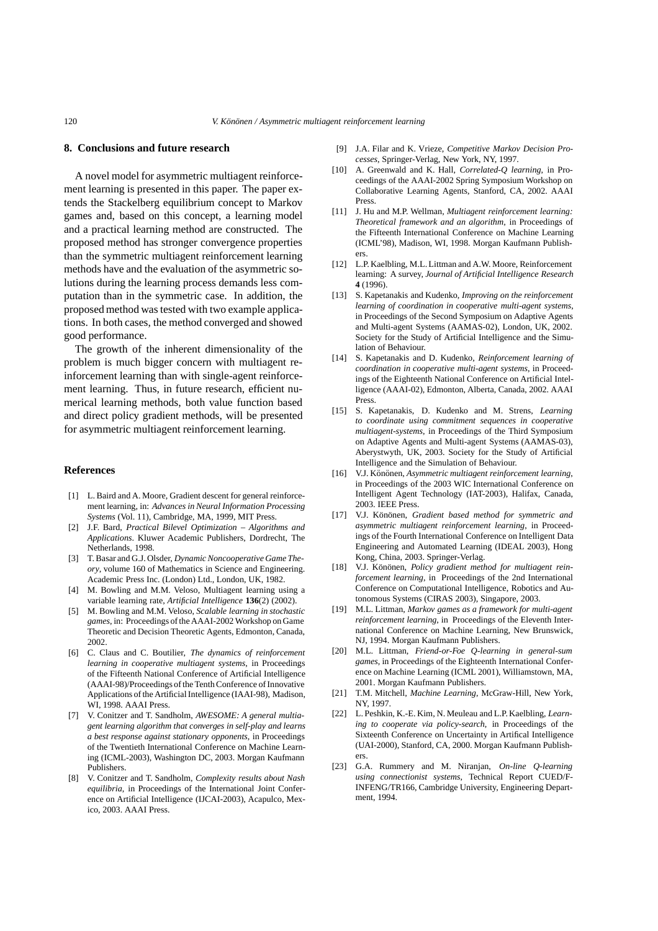#### **8. Conclusions and future research**

A novel model for asymmetric multiagent reinforcement learning is presented in this paper. The paper extends the Stackelberg equilibrium concept to Markov games and, based on this concept, a learning model and a practical learning method are constructed. The proposed method has stronger convergence properties than the symmetric multiagent reinforcement learning methods have and the evaluation of the asymmetric solutions during the learning process demands less computation than in the symmetric case. In addition, the proposed method was tested with two example applications. In both cases, the method converged and showed good performance.

The growth of the inherent dimensionality of the problem is much bigger concern with multiagent reinforcement learning than with single-agent reinforcement learning. Thus, in future research, efficient numerical learning methods, both value function based and direct policy gradient methods, will be presented for asymmetric multiagent reinforcement learning.

# **References**

- [1] L. Baird and A. Moore, Gradient descent for general reinforcement learning, in: *Advances in Neural Information Processing Systems* (Vol. 11), Cambridge, MA, 1999, MIT Press.
- [2] J.F. Bard, *Practical Bilevel Optimization Algorithms and Applications*. Kluwer Academic Publishers, Dordrecht, The Netherlands, 1998.
- [3] T. Basar and G.J. Olsder, *Dynamic Noncooperative Game Theory*, volume 160 of Mathematics in Science and Engineering. Academic Press Inc. (London) Ltd., London, UK, 1982.
- [4] M. Bowling and M.M. Veloso, Multiagent learning using a variable learning rate, *Artificial Intelligence* **136**(2) (2002).
- [5] M. Bowling and M.M. Veloso, *Scalable learning in stochastic games*, in: Proceedings of the AAAI-2002 Workshop on Game Theoretic and Decision Theoretic Agents, Edmonton, Canada, 2002.
- [6] C. Claus and C. Boutilier, *The dynamics of reinforcement learning in cooperative multiagent systems*, in Proceedings of the Fifteenth National Conference of Artificial Intelligence (AAAI-98)/Proceedings of the Tenth Conference of Innovative Applications of the Artificial Intelligence (IAAI-98), Madison, WI, 1998. AAAI Press.
- [7] V. Conitzer and T. Sandholm, *AWESOME: A general multiagent learning algorithm that converges in self-play and learns a best response against stationary opponents*, in Proceedings of the Twentieth International Conference on Machine Learning (ICML-2003), Washington DC, 2003. Morgan Kaufmann Publishers.
- [8] V. Conitzer and T. Sandholm, *Complexity results about Nash equilibria*, in Proceedings of the International Joint Conference on Artificial Intelligence (IJCAI-2003), Acapulco, Mexico, 2003. AAAI Press.
- [9] J.A. Filar and K. Vrieze, *Competitive Markov Decision Processes*, Springer-Verlag, New York, NY, 1997.
- [10] A. Greenwald and K. Hall, *Correlated-Q learning*, in Proceedings of the AAAI-2002 Spring Symposium Workshop on Collaborative Learning Agents, Stanford, CA, 2002. AAAI Press.
- [11] J. Hu and M.P. Wellman, *Multiagent reinforcement learning: Theoretical framework and an algorithm*, in Proceedings of the Fifteenth International Conference on Machine Learning (ICML'98), Madison, WI, 1998. Morgan Kaufmann Publishers.
- [12] L.P. Kaelbling, M.L. Littman and A.W. Moore, Reinforcement learning: A survey, *Journal of Artificial Intelligence Research* **4** (1996).
- [13] S. Kapetanakis and Kudenko, *Improving on the reinforcement learning of coordination in cooperative multi-agent systems*, in Proceedings of the Second Symposium on Adaptive Agents and Multi-agent Systems (AAMAS-02), London, UK, 2002. Society for the Study of Artificial Intelligence and the Simulation of Behaviour.
- [14] S. Kapetanakis and D. Kudenko, *Reinforcement learning of coordination in cooperative multi-agent systems*, in Proceedings of the Eighteenth National Conference on Artificial Intelligence (AAAI-02), Edmonton, Alberta, Canada, 2002. AAAI Press.
- [15] S. Kapetanakis, D. Kudenko and M. Strens, *Learning to coordinate using commitment sequences in cooperative multiagent-systems*, in Proceedings of the Third Symposium on Adaptive Agents and Multi-agent Systems (AAMAS-03), Aberystwyth, UK, 2003. Society for the Study of Artificial Intelligence and the Simulation of Behaviour.
- [16] V.J. Könönen, Asymmetric multiagent reinforcement learning, in Proceedings of the 2003 WIC International Conference on Intelligent Agent Technology (IAT-2003), Halifax, Canada, 2003. IEEE Press.
- [17] V.J. Könönen, Gradient based method for symmetric and *asymmetric multiagent reinforcement learning*, in Proceedings of the Fourth International Conference on Intelligent Data Engineering and Automated Learning (IDEAL 2003), Hong Kong, China, 2003. Springer-Verlag.
- [18] V.J. Könönen, *Policy gradient method for multiagent reinforcement learning*, in Proceedings of the 2nd International Conference on Computational Intelligence, Robotics and Autonomous Systems (CIRAS 2003), Singapore, 2003.
- [19] M.L. Littman, *Markov games as a framework for multi-agent reinforcement learning*, in Proceedings of the Eleventh International Conference on Machine Learning, New Brunswick, NJ, 1994. Morgan Kaufmann Publishers.
- [20] M.L. Littman, *Friend-or-Foe Q-learning in general-sum games*, in Proceedings of the Eighteenth International Conference on Machine Learning (ICML 2001), Williamstown, MA, 2001. Morgan Kaufmann Publishers.
- [21] T.M. Mitchell, *Machine Learning*, McGraw-Hill, New York, NY, 1997.
- [22] L. Peshkin, K.-E. Kim, N. Meuleau and L.P. Kaelbling, *Learning to cooperate via policy-search*, in Proceedings of the Sixteenth Conference on Uncertainty in Artifical Intelligence (UAI-2000), Stanford, CA, 2000. Morgan Kaufmann Publishers.
- [23] G.A. Rummery and M. Niranjan, *On-line Q-learning using connectionist systems*, Technical Report CUED/F-INFENG/TR166, Cambridge University, Engineering Department, 1994.